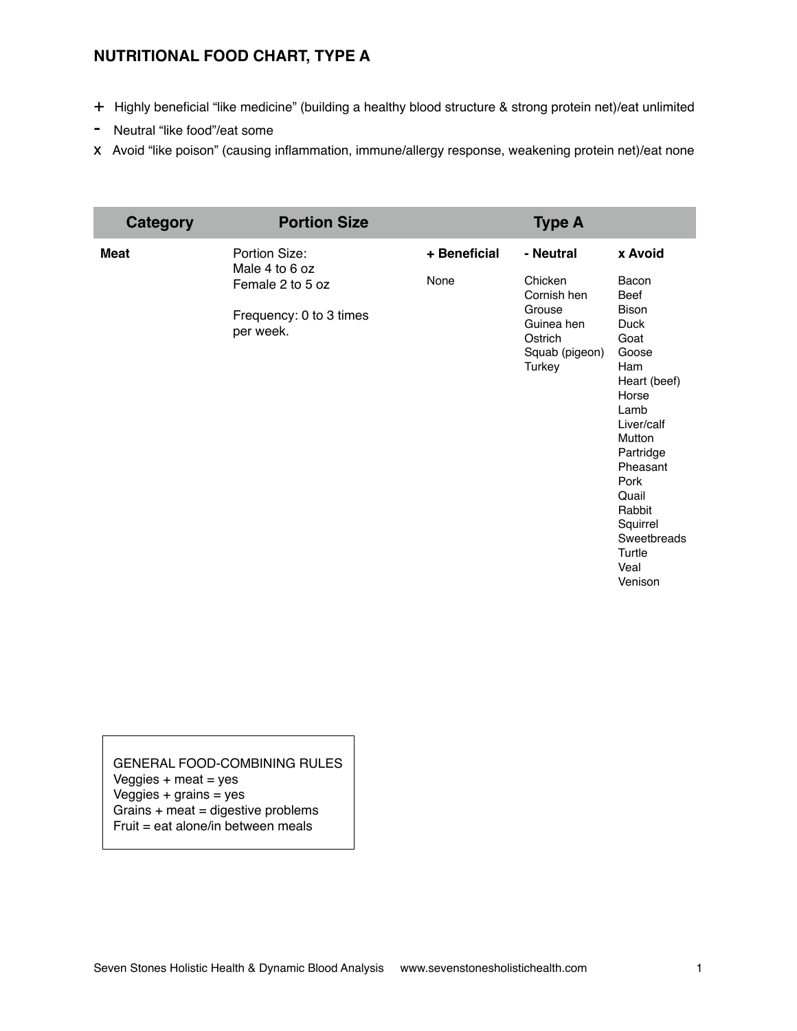## **NUTRITIONAL FOOD CHART, TYPE A**

- + Highly beneficial "like medicine" (building a healthy blood structure & strong protein net)/eat unlimited
- Neutral "like food"/eat some
- x Avoid "like poison" (causing inflammation, immune/allergy response, weakening protein net)/eat none

| Category    | <b>Portion Size</b>                  |              | <b>Type A</b>                                               |                                                                                                                                                                                                                   |
|-------------|--------------------------------------|--------------|-------------------------------------------------------------|-------------------------------------------------------------------------------------------------------------------------------------------------------------------------------------------------------------------|
| <b>Meat</b> | Portion Size:<br>Male 4 to 6 oz      | + Beneficial | - Neutral                                                   | x Avoid                                                                                                                                                                                                           |
|             | Female 2 to 5 oz                     | None         | Chicken<br>Cornish hen                                      | Bacon<br>Beef                                                                                                                                                                                                     |
|             | Frequency: 0 to 3 times<br>per week. |              | Grouse<br>Guinea hen<br>Ostrich<br>Squab (pigeon)<br>Turkey | <b>Bison</b><br>Duck<br>Goat<br>Goose<br>Ham<br>Heart (beef)<br>Horse<br>Lamb<br>Liver/calf<br>Mutton<br>Partridge<br>Pheasant<br>Pork<br>Quail<br>Rabbit<br>Squirrel<br>Sweetbreads<br>Turtle<br>Veal<br>Venison |

GENERAL FOOD-COMBINING RULES Veggies  $+$  meat  $=$  yes Veggies  $+$  grains  $=$  yes Grains + meat = digestive problems Fruit = eat alone/in between meals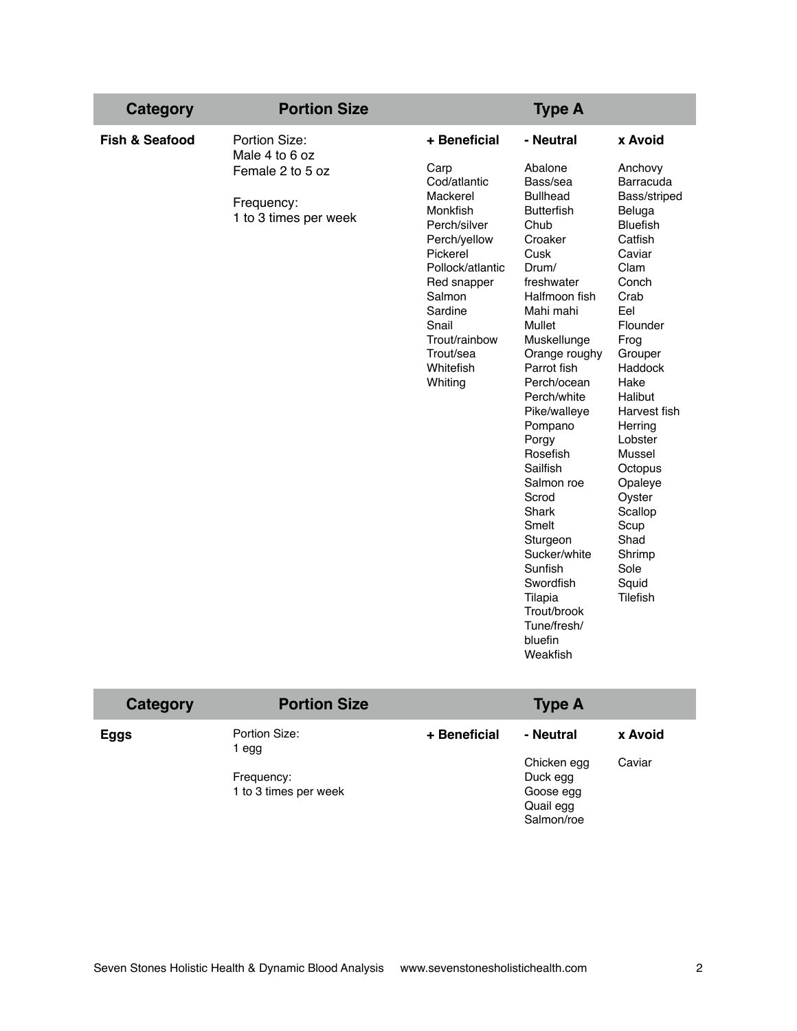| <b>Category</b>           | <b>Portion Size</b>                                                                        |                                                                                                                                                                                                                                 | <b>Type A</b>                                                                                                                                                                                                                                                                                                                                                                                                                                                            |                                                                                                                                                                                                                                                                                                                                                  |
|---------------------------|--------------------------------------------------------------------------------------------|---------------------------------------------------------------------------------------------------------------------------------------------------------------------------------------------------------------------------------|--------------------------------------------------------------------------------------------------------------------------------------------------------------------------------------------------------------------------------------------------------------------------------------------------------------------------------------------------------------------------------------------------------------------------------------------------------------------------|--------------------------------------------------------------------------------------------------------------------------------------------------------------------------------------------------------------------------------------------------------------------------------------------------------------------------------------------------|
| <b>Fish &amp; Seafood</b> | Portion Size:<br>Male 4 to 6 oz<br>Female 2 to 5 oz<br>Frequency:<br>1 to 3 times per week | + Beneficial<br>Carp<br>Cod/atlantic<br>Mackerel<br>Monkfish<br>Perch/silver<br>Perch/yellow<br>Pickerel<br>Pollock/atlantic<br>Red snapper<br>Salmon<br>Sardine<br>Snail<br>Trout/rainbow<br>Trout/sea<br>Whitefish<br>Whiting | - Neutral<br>Abalone<br>Bass/sea<br><b>Bullhead</b><br><b>Butterfish</b><br>Chub<br>Croaker<br>Cusk<br>Drum/<br>freshwater<br>Halfmoon fish<br>Mahi mahi<br>Mullet<br>Muskellunge<br>Orange roughy<br>Parrot fish<br>Perch/ocean<br>Perch/white<br>Pike/walleye<br>Pompano<br>Porgy<br>Rosefish<br>Sailfish<br>Salmon roe<br>Scrod<br>Shark<br>Smelt<br>Sturgeon<br>Sucker/white<br>Sunfish<br>Swordfish<br>Tilapia<br>Trout/brook<br>Tune/fresh/<br>bluefin<br>Weakfish | x Avoid<br>Anchovy<br>Barracuda<br>Bass/striped<br>Beluga<br><b>Bluefish</b><br>Catfish<br>Caviar<br>Clam<br>Conch<br>Crab<br>Eel<br>Flounder<br>Frog<br>Grouper<br>Haddock<br>Hake<br>Halibut<br>Harvest fish<br>Herring<br>Lobster<br>Mussel<br>Octopus<br>Opaleye<br>Oyster<br>Scallop<br>Scup<br>Shad<br>Shrimp<br>Sole<br>Squid<br>Tilefish |
|                           |                                                                                            |                                                                                                                                                                                                                                 |                                                                                                                                                                                                                                                                                                                                                                                                                                                                          |                                                                                                                                                                                                                                                                                                                                                  |

| Category | <b>Portion Size</b>                                         |              | <b>Type A</b>                                                                |                   |
|----------|-------------------------------------------------------------|--------------|------------------------------------------------------------------------------|-------------------|
| Eggs     | Portion Size:<br>egg<br>Frequency:<br>1 to 3 times per week | + Beneficial | - Neutral<br>Chicken egg<br>Duck egg<br>Goose egg<br>Quail egg<br>Salmon/roe | x Avoid<br>Caviar |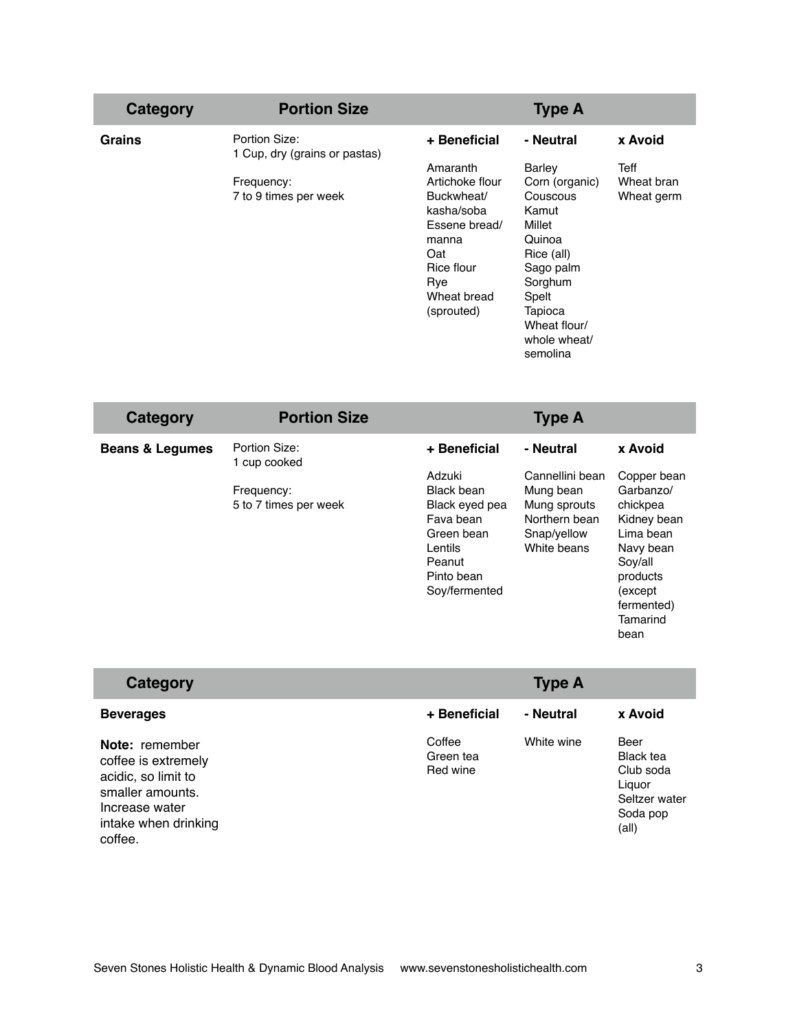| Category      | <b>Portion Size</b>                            |                                                                                                        | <b>Type A</b>                                                                                       |                                  |
|---------------|------------------------------------------------|--------------------------------------------------------------------------------------------------------|-----------------------------------------------------------------------------------------------------|----------------------------------|
| <b>Grains</b> | Portion Size:<br>1 Cup, dry (grains or pastas) | + Beneficial                                                                                           | - Neutral                                                                                           | x Avoid                          |
|               | Frequency:<br>7 to 9 times per week            | Amaranth<br>Artichoke flour<br>Buckwheat/<br>kasha/soba<br>Essene bread/<br>manna<br>Oat<br>Rice flour | <b>Barley</b><br>Corn (organic)<br>Couscous<br>Kamut<br>Millet<br>Quinoa<br>Rice (all)<br>Sago palm | Teff<br>Wheat bran<br>Wheat germ |
|               |                                                | Rye<br>Wheat bread<br>(sprouted)                                                                       | Sorghum<br>Spelt<br>Tapioca<br>Wheat flour/<br>whole wheat/<br>semolina                             |                                  |

| Category                   | <b>Portion Size</b>                                                  |                                                                                                                                       | <b>Type A</b>                                                                                            |                                                                                                                                                              |
|----------------------------|----------------------------------------------------------------------|---------------------------------------------------------------------------------------------------------------------------------------|----------------------------------------------------------------------------------------------------------|--------------------------------------------------------------------------------------------------------------------------------------------------------------|
| <b>Beans &amp; Legumes</b> | Portion Size:<br>1 cup cooked<br>Frequency:<br>5 to 7 times per week | + Beneficial<br>Adzuki<br>Black bean<br>Black eyed pea<br>Fava bean<br>Green bean<br>Lentils<br>Peanut<br>Pinto bean<br>Soy/fermented | - Neutral<br>Cannellini bean<br>Mung bean<br>Mung sprouts<br>Northern bean<br>Snap/yellow<br>White beans | x Avoid<br>Copper bean<br>Garbanzo/<br>chickpea<br>Kidney bean<br>Lima bean<br>Navy bean<br>Soy/all<br>products<br>(except<br>fermented)<br>Tamarind<br>bean |

| Category                                                                                                                              |                                 | <b>Type A</b> |                                                                                       |
|---------------------------------------------------------------------------------------------------------------------------------------|---------------------------------|---------------|---------------------------------------------------------------------------------------|
| <b>Beverages</b>                                                                                                                      | + Beneficial                    | - Neutral     | x Avoid                                                                               |
| Note: remember<br>coffee is extremely<br>acidic, so limit to<br>smaller amounts.<br>Increase water<br>intake when drinking<br>coffee. | Coffee<br>Green tea<br>Red wine | White wine    | Beer<br><b>Black tea</b><br>Club soda<br>Liguor<br>Seltzer water<br>Soda pop<br>(all) |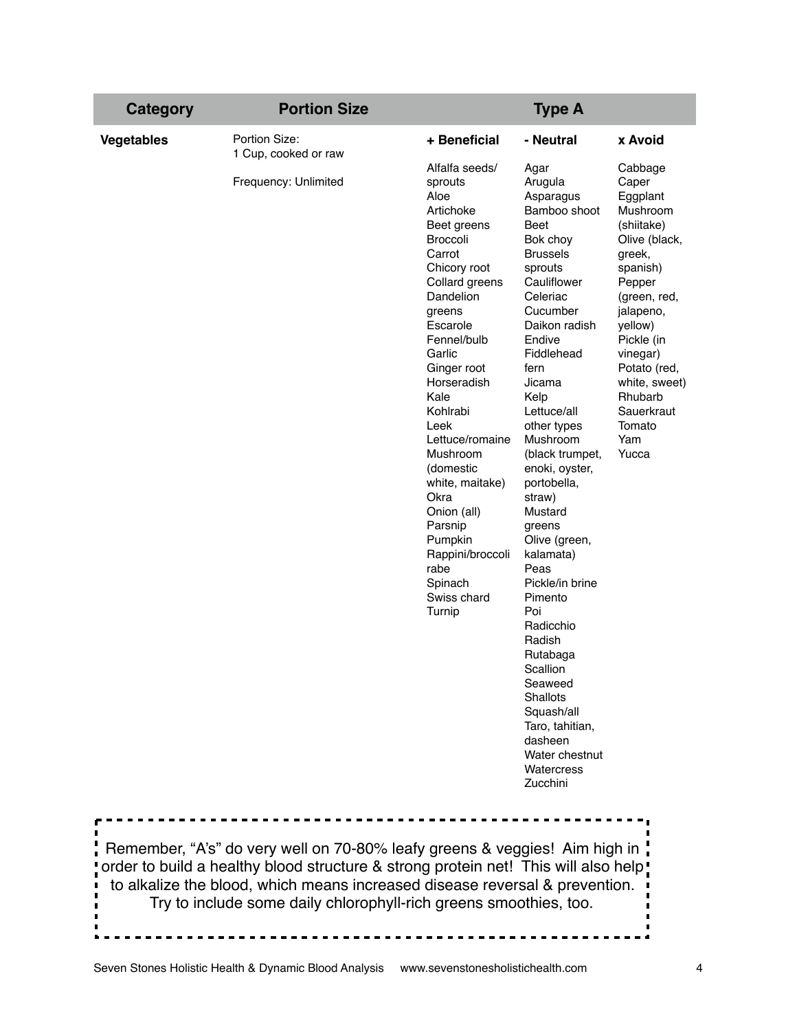| Portion Size:<br><b>Vegetables</b>                                                                                         |                                                                                                                                                                                                                                                                                                                                                                                                                                |                                                                                                                                                                                                                                                                                                                                                                                                                                                                                                                                                                                |                                                                                                                                                                                                                                                               |
|----------------------------------------------------------------------------------------------------------------------------|--------------------------------------------------------------------------------------------------------------------------------------------------------------------------------------------------------------------------------------------------------------------------------------------------------------------------------------------------------------------------------------------------------------------------------|--------------------------------------------------------------------------------------------------------------------------------------------------------------------------------------------------------------------------------------------------------------------------------------------------------------------------------------------------------------------------------------------------------------------------------------------------------------------------------------------------------------------------------------------------------------------------------|---------------------------------------------------------------------------------------------------------------------------------------------------------------------------------------------------------------------------------------------------------------|
|                                                                                                                            | + Beneficial                                                                                                                                                                                                                                                                                                                                                                                                                   | - Neutral                                                                                                                                                                                                                                                                                                                                                                                                                                                                                                                                                                      | x Avoid                                                                                                                                                                                                                                                       |
| 1 Cup, cooked or raw<br>Frequency: Unlimited<br>Remember, "A's" do very well on 70-80% leafy greens & veggies! Aim high in | Alfalfa seeds/<br>sprouts<br>Aloe<br>Artichoke<br>Beet greens<br><b>Broccoli</b><br>Carrot<br>Chicory root<br>Collard greens<br>Dandelion<br>greens<br>Escarole<br>Fennel/bulb<br>Garlic<br>Ginger root<br>Horseradish<br>Kale<br>Kohlrabi<br>Leek<br>Lettuce/romaine<br>Mushroom<br>(domestic<br>white, maitake)<br>Okra<br>Onion (all)<br>Parsnip<br>Pumpkin<br>Rappini/broccoli<br>rabe<br>Spinach<br>Swiss chard<br>Turnip | Agar<br>Arugula<br>Asparagus<br>Bamboo shoot<br>Beet<br>Bok choy<br><b>Brussels</b><br>sprouts<br>Cauliflower<br>Celeriac<br>Cucumber<br>Daikon radish<br>Endive<br>Fiddlehead<br>fern<br>Jicama<br>Kelp<br>Lettuce/all<br>other types<br>Mushroom<br>(black trumpet,<br>enoki, oyster,<br>portobella,<br>straw)<br>Mustard<br>greens<br>Olive (green,<br>kalamata)<br>Peas<br>Pickle/in brine<br>Pimento<br>Poi<br>Radicchio<br>Radish<br>Rutabaga<br>Scallion<br>Seaweed<br>Shallots<br>Squash/all<br>Taro, tahitian,<br>dasheen<br>Water chestnut<br>Watercress<br>Zucchini | Cabbage<br>Caper<br>Eggplant<br>Mushroom<br>(shiitake)<br>Olive (black,<br>greek,<br>spanish)<br>Pepper<br>(green, red,<br>jalapeno,<br>yellow)<br>Pickle (in<br>vinegar)<br>Potato (red.<br>white, sweet)<br>Rhubarb<br>Sauerkraut<br>Tomato<br>Yam<br>Yucca |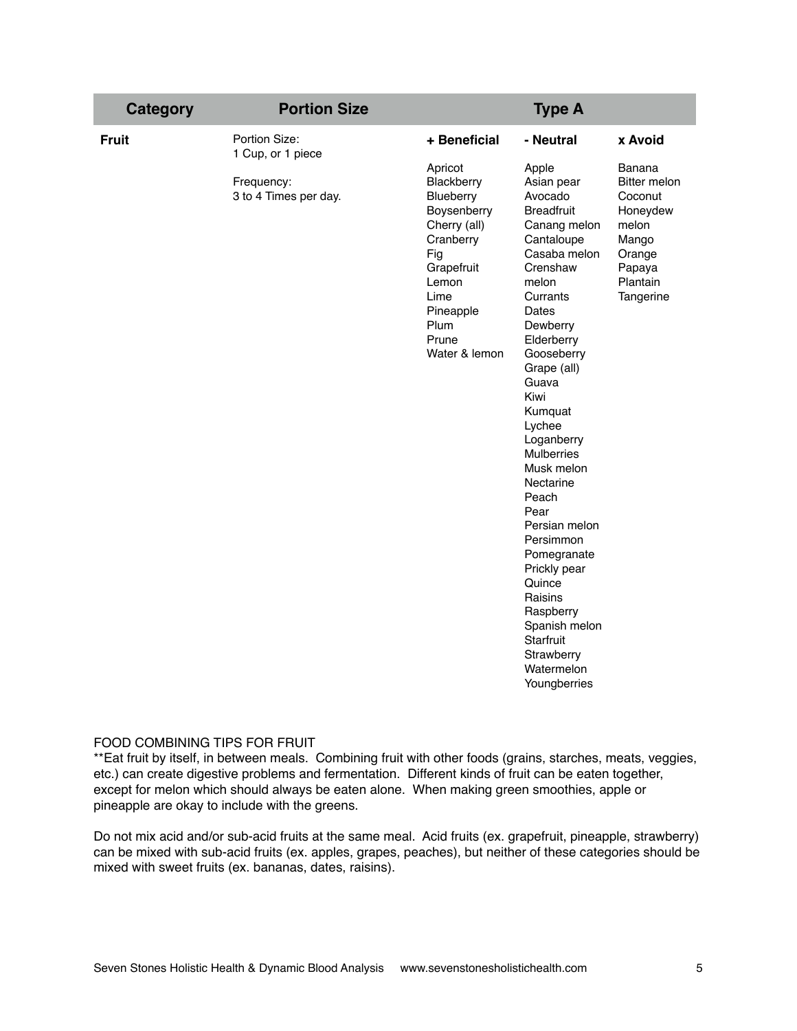| <b>Category</b> | <b>Portion Size</b>                 |                                                                                                                                                                     | <b>Type A</b>                                                                                                                                                                                                                                                                                                                                                                                                                                                                                    |                                                                                                                     |
|-----------------|-------------------------------------|---------------------------------------------------------------------------------------------------------------------------------------------------------------------|--------------------------------------------------------------------------------------------------------------------------------------------------------------------------------------------------------------------------------------------------------------------------------------------------------------------------------------------------------------------------------------------------------------------------------------------------------------------------------------------------|---------------------------------------------------------------------------------------------------------------------|
| <b>Fruit</b>    | Portion Size:<br>1 Cup, or 1 piece  | + Beneficial                                                                                                                                                        | - Neutral                                                                                                                                                                                                                                                                                                                                                                                                                                                                                        | x Avoid                                                                                                             |
|                 | Frequency:<br>3 to 4 Times per day. | Apricot<br>Blackberry<br>Blueberry<br>Boysenberry<br>Cherry (all)<br>Cranberry<br>Fig<br>Grapefruit<br>Lemon<br>Lime<br>Pineapple<br>Plum<br>Prune<br>Water & lemon | Apple<br>Asian pear<br>Avocado<br><b>Breadfruit</b><br>Canang melon<br>Cantaloupe<br>Casaba melon<br>Crenshaw<br>melon<br>Currants<br>Dates<br>Dewberry<br>Elderberry<br>Gooseberry<br>Grape (all)<br>Guava<br>Kiwi<br>Kumquat<br>Lychee<br>Loganberry<br><b>Mulberries</b><br>Musk melon<br>Nectarine<br>Peach<br>Pear<br>Persian melon<br>Persimmon<br>Pomegranate<br>Prickly pear<br>Quince<br>Raisins<br>Raspberry<br>Spanish melon<br>Starfruit<br>Strawberry<br>Watermelon<br>Youngberries | Banana<br><b>Bitter melon</b><br>Coconut<br>Honeydew<br>melon<br>Mango<br>Orange<br>Papaya<br>Plantain<br>Tangerine |

## FOOD COMBINING TIPS FOR FRUIT

\*\*Eat fruit by itself, in between meals. Combining fruit with other foods (grains, starches, meats, veggies, etc.) can create digestive problems and fermentation. Different kinds of fruit can be eaten together, except for melon which should always be eaten alone. When making green smoothies, apple or pineapple are okay to include with the greens.

Do not mix acid and/or sub-acid fruits at the same meal. Acid fruits (ex. grapefruit, pineapple, strawberry) can be mixed with sub-acid fruits (ex. apples, grapes, peaches), but neither of these categories should be mixed with sweet fruits (ex. bananas, dates, raisins).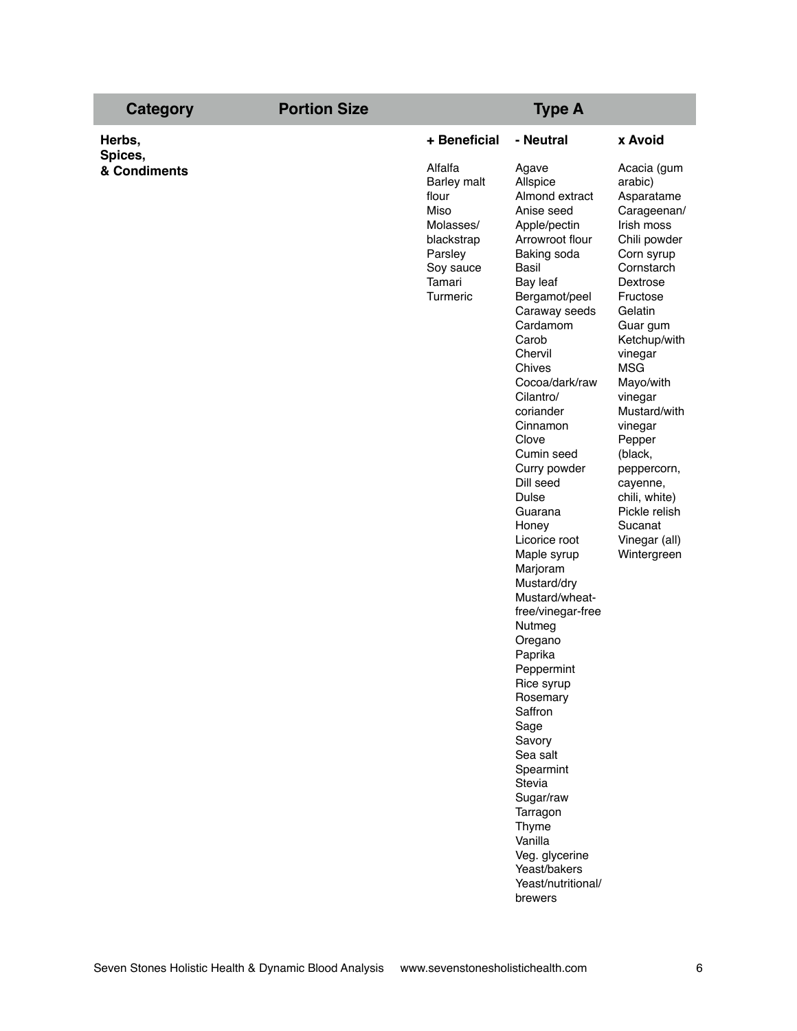| <b>Category</b>         | <b>Portion Size</b> |                                                                                                                  | <b>Type A</b>                                                                                                                                                                                                                                                                                                                                                                                                                                                                                                                                                                                                                                                                                                         |                                                                                                                                                                                                                                                                                                                                                                                       |
|-------------------------|---------------------|------------------------------------------------------------------------------------------------------------------|-----------------------------------------------------------------------------------------------------------------------------------------------------------------------------------------------------------------------------------------------------------------------------------------------------------------------------------------------------------------------------------------------------------------------------------------------------------------------------------------------------------------------------------------------------------------------------------------------------------------------------------------------------------------------------------------------------------------------|---------------------------------------------------------------------------------------------------------------------------------------------------------------------------------------------------------------------------------------------------------------------------------------------------------------------------------------------------------------------------------------|
| Herbs,                  |                     | + Beneficial                                                                                                     | - Neutral                                                                                                                                                                                                                                                                                                                                                                                                                                                                                                                                                                                                                                                                                                             | x Avoid                                                                                                                                                                                                                                                                                                                                                                               |
| Spices,<br>& Condiments |                     | Alfalfa<br>Barley malt<br>flour<br>Miso<br>Molasses/<br>blackstrap<br>Parsley<br>Soy sauce<br>Tamari<br>Turmeric | Agave<br>Allspice<br>Almond extract<br>Anise seed<br>Apple/pectin<br>Arrowroot flour<br>Baking soda<br>Basil<br>Bay leaf<br>Bergamot/peel<br>Caraway seeds<br>Cardamom<br>Carob<br>Chervil<br>Chives<br>Cocoa/dark/raw<br>Cilantro/<br>coriander<br>Cinnamon<br>Clove<br>Cumin seed<br>Curry powder<br>Dill seed<br><b>Dulse</b><br>Guarana<br>Honey<br>Licorice root<br>Maple syrup<br>Marjoram<br>Mustard/dry<br>Mustard/wheat-<br>free/vinegar-free<br>Nutmeg<br>Oregano<br>Paprika<br>Peppermint<br><b>Hice syrup</b><br>Rosemary<br>Saffron<br>Sage<br>Savory<br>Sea salt<br>Spearmint<br>Stevia<br>Sugar/raw<br>Tarragon<br>Thyme<br>Vanilla<br>Veg. glycerine<br>Yeast/bakers<br>Yeast/nutritional/<br>brewers | Acacia (gum<br>arabic)<br>Asparatame<br>Carageenan/<br>Irish moss<br>Chili powder<br>Corn syrup<br>Cornstarch<br>Dextrose<br>Fructose<br>Gelatin<br>Guar gum<br>Ketchup/with<br>vinegar<br><b>MSG</b><br>Mayo/with<br>vinegar<br>Mustard/with<br>vinegar<br>Pepper<br>(black,<br>peppercorn,<br>cayenne,<br>chili, white)<br>Pickle relish<br>Sucanat<br>Vinegar (all)<br>Wintergreen |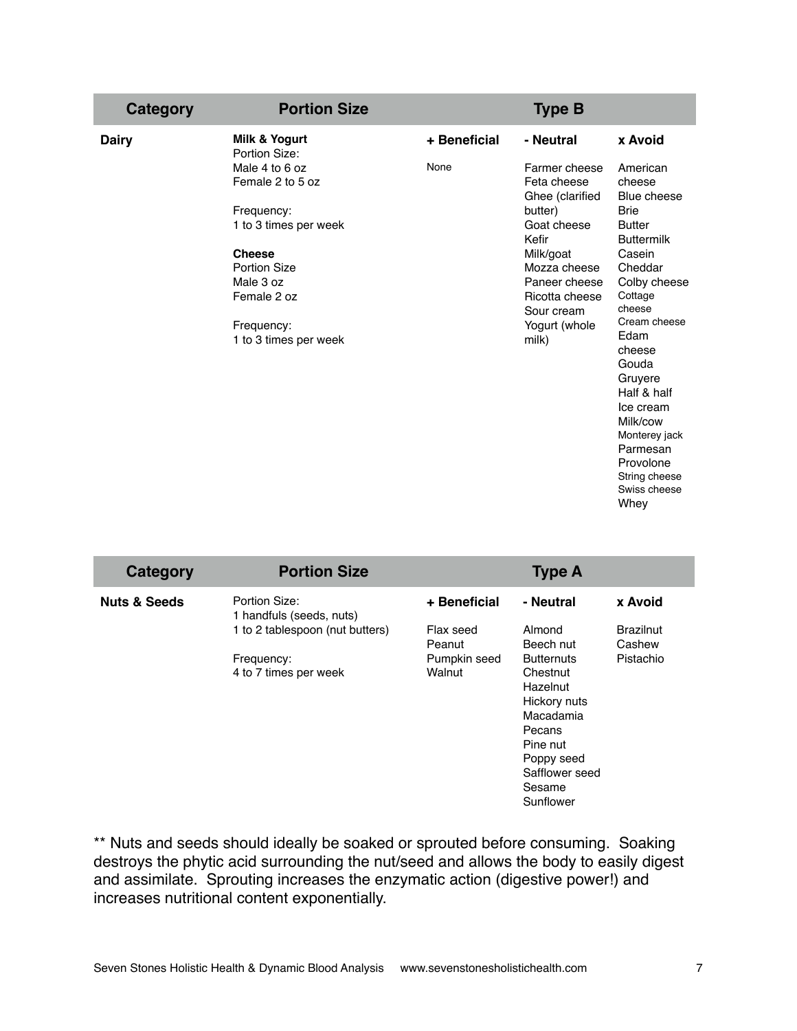| Category     | <b>Portion Size</b>                                                                                                                                                                  |              | <b>Type B</b>                                                                                                                                                                              |                                                                                                                                                                                                                                                                                                                                   |
|--------------|--------------------------------------------------------------------------------------------------------------------------------------------------------------------------------------|--------------|--------------------------------------------------------------------------------------------------------------------------------------------------------------------------------------------|-----------------------------------------------------------------------------------------------------------------------------------------------------------------------------------------------------------------------------------------------------------------------------------------------------------------------------------|
| <b>Dairy</b> | Milk & Yogurt<br>Portion Size:                                                                                                                                                       | + Beneficial | - Neutral                                                                                                                                                                                  | x Avoid                                                                                                                                                                                                                                                                                                                           |
|              | Male 4 to 6 oz<br>Female 2 to 5 oz<br>Frequency:<br>1 to 3 times per week<br><b>Cheese</b><br><b>Portion Size</b><br>Male 3 oz<br>Female 2 oz<br>Frequency:<br>1 to 3 times per week | None         | Farmer cheese<br>Feta cheese<br>Ghee (clarified<br>butter)<br>Goat cheese<br>Kefir<br>Milk/goat<br>Mozza cheese<br>Paneer cheese<br>Ricotta cheese<br>Sour cream<br>Yogurt (whole<br>milk) | American<br>cheese<br>Blue cheese<br><b>Brie</b><br><b>Butter</b><br><b>Buttermilk</b><br>Casein<br>Cheddar<br>Colby cheese<br>Cottage<br>cheese<br>Cream cheese<br>Edam<br>cheese<br>Gouda<br>Gruyere<br>Half & half<br>Ice cream<br>Milk/cow<br>Monterey jack<br>Parmesan<br>Provolone<br>String cheese<br>Swiss cheese<br>Whey |
|              |                                                                                                                                                                                      |              |                                                                                                                                                                                            |                                                                                                                                                                                                                                                                                                                                   |

| Category                | <b>Portion Size</b>                                                                                                 |                                                               | <b>Type A</b>                                                                                                                                                                           |                                                    |
|-------------------------|---------------------------------------------------------------------------------------------------------------------|---------------------------------------------------------------|-----------------------------------------------------------------------------------------------------------------------------------------------------------------------------------------|----------------------------------------------------|
| <b>Nuts &amp; Seeds</b> | Portion Size:<br>1 handfuls (seeds, nuts)<br>1 to 2 tablespoon (nut butters)<br>Frequency:<br>4 to 7 times per week | + Beneficial<br>Flax seed<br>Peanut<br>Pumpkin seed<br>Walnut | - Neutral<br>Almond<br>Beech nut<br><b>Butternuts</b><br>Chestnut<br>Hazelnut<br>Hickory nuts<br>Macadamia<br>Pecans<br>Pine nut<br>Poppy seed<br>Safflower seed<br>Sesame<br>Sunflower | x Avoid<br><b>Brazilnut</b><br>Cashew<br>Pistachio |

\*\* Nuts and seeds should ideally be soaked or sprouted before consuming. Soaking destroys the phytic acid surrounding the nut/seed and allows the body to easily digest and assimilate. Sprouting increases the enzymatic action (digestive power!) and increases nutritional content exponentially.